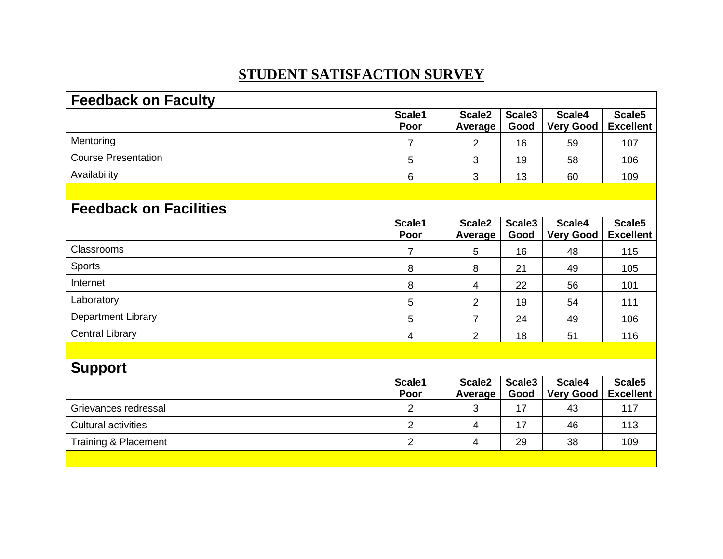## **STUDENT SATISFACTION SURVEY**

| <b>Feedback on Faculty</b>    |                |                               |                            |                            |                            |
|-------------------------------|----------------|-------------------------------|----------------------------|----------------------------|----------------------------|
|                               | Scale1<br>Poor | Scale <sub>2</sub><br>Average | Scale3<br>Good             | Scale4<br><b>Very Good</b> | Scale5<br><b>Excellent</b> |
| Mentoring                     | $\overline{7}$ | $\overline{2}$                | 16                         | 59                         | 107                        |
| <b>Course Presentation</b>    | 5              | 3                             | 19                         | 58                         | 106                        |
| Availability                  | 6              | 3                             | 13                         | 60                         | 109                        |
|                               |                |                               |                            |                            |                            |
| <b>Feedback on Facilities</b> |                |                               |                            |                            |                            |
|                               | Scale1<br>Poor | Scale <sub>2</sub><br>Average | Scale3<br>Good             | Scale4<br><b>Very Good</b> | Scale5<br><b>Excellent</b> |
| Classrooms                    | $\overline{7}$ | 5                             | 16                         | 48                         | 115                        |
| <b>Sports</b>                 | 8              | 8                             | 21                         | 49                         | 105                        |
| Internet                      | 8              | 4                             | 22                         | 56                         | 101                        |
| Laboratory                    | 5              | $\overline{2}$                | 19                         | 54                         | 111                        |
| <b>Department Library</b>     | 5              | $\overline{7}$                | 24                         | 49                         | 106                        |
| <b>Central Library</b>        | 4              | $\overline{2}$                | 18                         | 51                         | 116                        |
|                               |                |                               |                            |                            |                            |
| <b>Support</b>                |                |                               |                            |                            |                            |
|                               | Scale1<br>Poor | Scale <sub>2</sub><br>Average | Scale <sub>3</sub><br>Good | Scale4<br>Very Good        | Scale5<br><b>Excellent</b> |
| Grievances redressal          | $\overline{2}$ | 3                             | 17                         | 43                         | 117                        |
| <b>Cultural activities</b>    | $\overline{2}$ | 4                             | 17                         | 46                         | 113                        |
| Training & Placement          | 2              | 4                             | 29                         | 38                         | 109                        |
|                               |                |                               |                            |                            |                            |